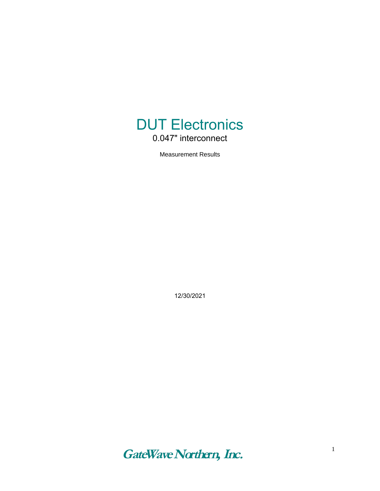

Measurement Results

12/30/2021

**GateWave Northern, Inc***.*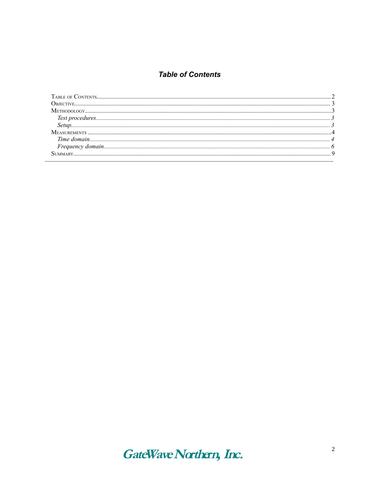### **Table of Contents**

| Овјести е постановни податници податници податници податници податници податници податници податници податници п |  |
|------------------------------------------------------------------------------------------------------------------|--|
|                                                                                                                  |  |
|                                                                                                                  |  |
|                                                                                                                  |  |
|                                                                                                                  |  |
|                                                                                                                  |  |
|                                                                                                                  |  |
|                                                                                                                  |  |
|                                                                                                                  |  |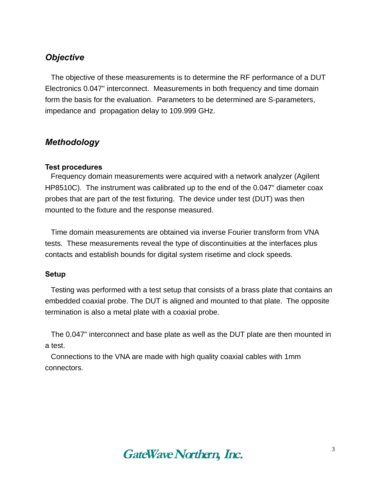# *Objective*

The objective of these measurements is to determine the RF performance of a DUT Electronics 0.047" interconnect. Measurements in both frequency and time domain form the basis for the evaluation. Parameters to be determined are S-parameters, impedance and propagation delay to 109.999 GHz.

# *Methodology*

#### **Test procedures**

Frequency domain measurements were acquired with a network analyzer (Agilent HP8510C). The instrument was calibrated up to the end of the 0.047" diameter coax probes that are part of the test fixturing. The device under test (DUT) was then mounted to the fixture and the response measured.

Time domain measurements are obtained via inverse Fourier transform from VNA tests. These measurements reveal the type of discontinuities at the interfaces plus contacts and establish bounds for digital system risetime and clock speeds.

#### **Setup**

Testing was performed with a test setup that consists of a brass plate that contains an embedded coaxial probe. The DUT is aligned and mounted to that plate. The opposite termination is also a metal plate with a coaxial probe.

The 0.047" interconnect and base plate as well as the DUT plate are then mounted in a test.

Connections to the VNA are made with high quality coaxial cables with 1mm connectors.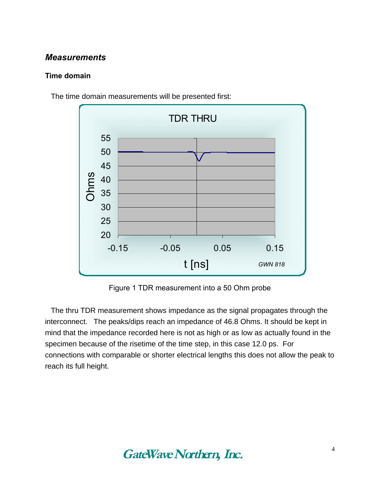## *Measurements*

#### **Time domain**



The time domain measurements will be presented first:

Figure 1 TDR measurement into a 50 Ohm probe

The thru TDR measurement shows impedance as the signal propagates through the interconnect. The peaks/dips reach an impedance of 46.8 Ohms. It should be kept in mind that the impedance recorded here is not as high or as low as actually found in the specimen because of the risetime of the time step, in this case 12.0 ps. For connections with comparable or shorter electrical lengths this does not allow the peak to reach its full height.

# **GateWave Northern, Inc***.*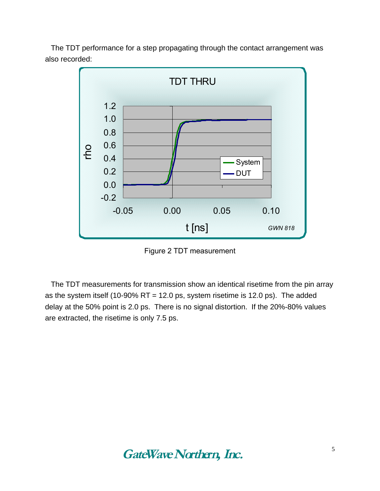The TDT performance for a step propagating through the contact arrangement was also recorded:



Figure 2 TDT measurement

The TDT measurements for transmission show an identical risetime from the pin array as the system itself (10-90% RT = 12.0 ps, system risetime is 12.0 ps). The added delay at the 50% point is 2.0 ps. There is no signal distortion. If the 20%-80% values are extracted, the risetime is only 7.5 ps.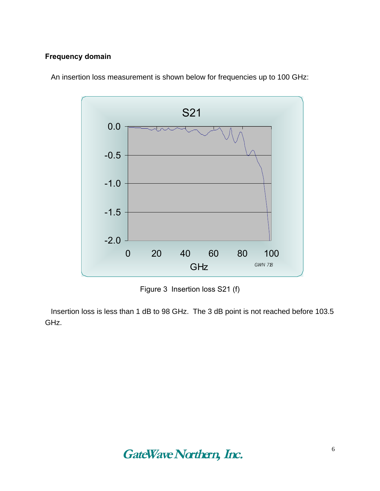### **Frequency domain**



An insertion loss measurement is shown below for frequencies up to 100 GHz:

Figure 3 Insertion loss S21 (f)

Insertion loss is less than 1 dB to 98 GHz. The 3 dB point is not reached before 103.5 GHz.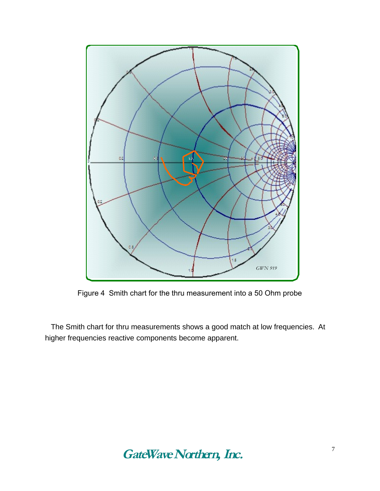

Figure 4 Smith chart for the thru measurement into a 50 Ohm probe

The Smith chart for thru measurements shows a good match at low frequencies. At higher frequencies reactive components become apparent.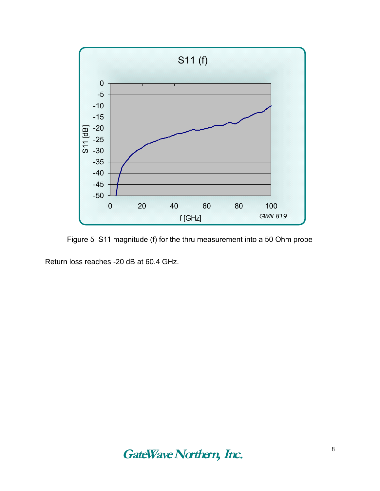

Figure 5 S11 magnitude (f) for the thru measurement into a 50 Ohm probe

Return loss reaches -20 dB at 60.4 GHz.